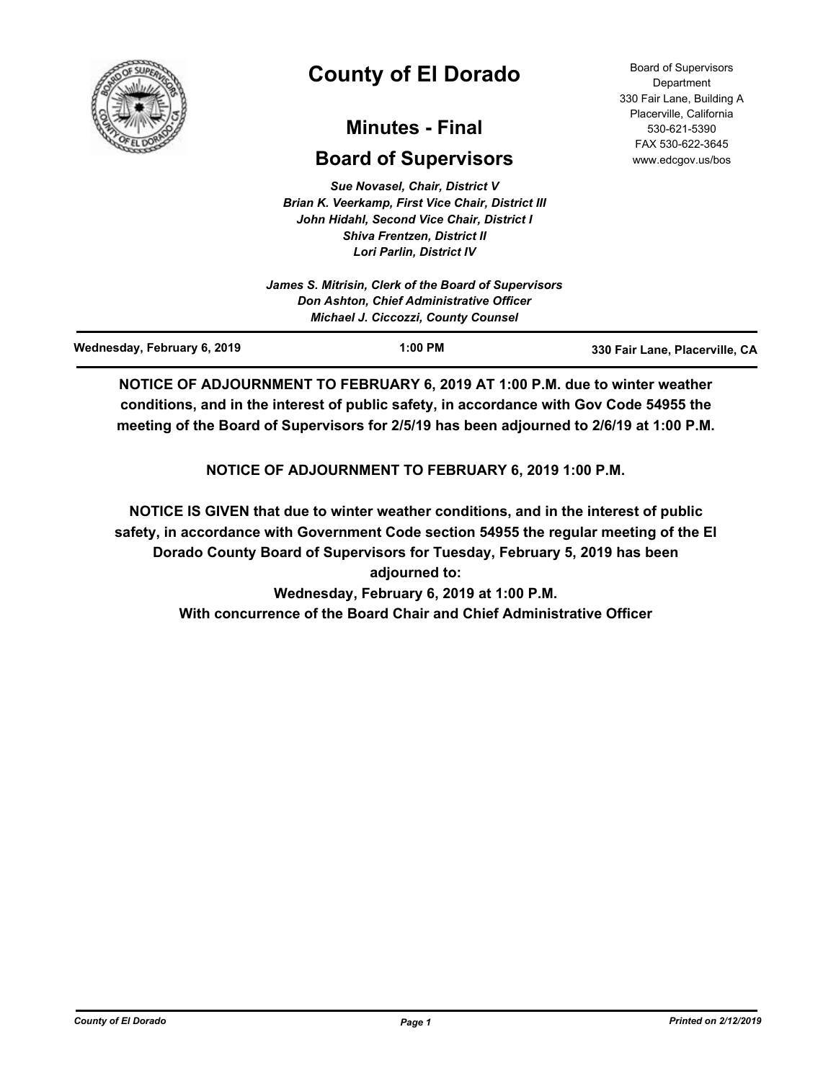

# **County of El Dorado**

## **Minutes - Final**

## **Board of Supervisors**

*Sue Novasel, Chair, District V Brian K. Veerkamp, First Vice Chair, District III John Hidahl, Second Vice Chair, District I Shiva Frentzen, District II Lori Parlin, District IV*

Board of Supervisors **Department** 330 Fair Lane, Building A Placerville, California 530-621-5390 FAX 530-622-3645 www.edcgov.us/bos

**NOTICE OF ADJOURNMENT TO FEBRUARY 6, 2019 AT 1:00 P.M. due to winter weather conditions, and in the interest of public safety, in accordance with Gov Code 54955 the meeting of the Board of Supervisors for 2/5/19 has been adjourned to 2/6/19 at 1:00 P.M.**

**NOTICE OF ADJOURNMENT TO FEBRUARY 6, 2019 1:00 P.M.**

**NOTICE IS GIVEN that due to winter weather conditions, and in the interest of public safety, in accordance with Government Code section 54955 the regular meeting of the El Dorado County Board of Supervisors for Tuesday, February 5, 2019 has been adjourned to: Wednesday, February 6, 2019 at 1:00 P.M.**

**With concurrence of the Board Chair and Chief Administrative Officer**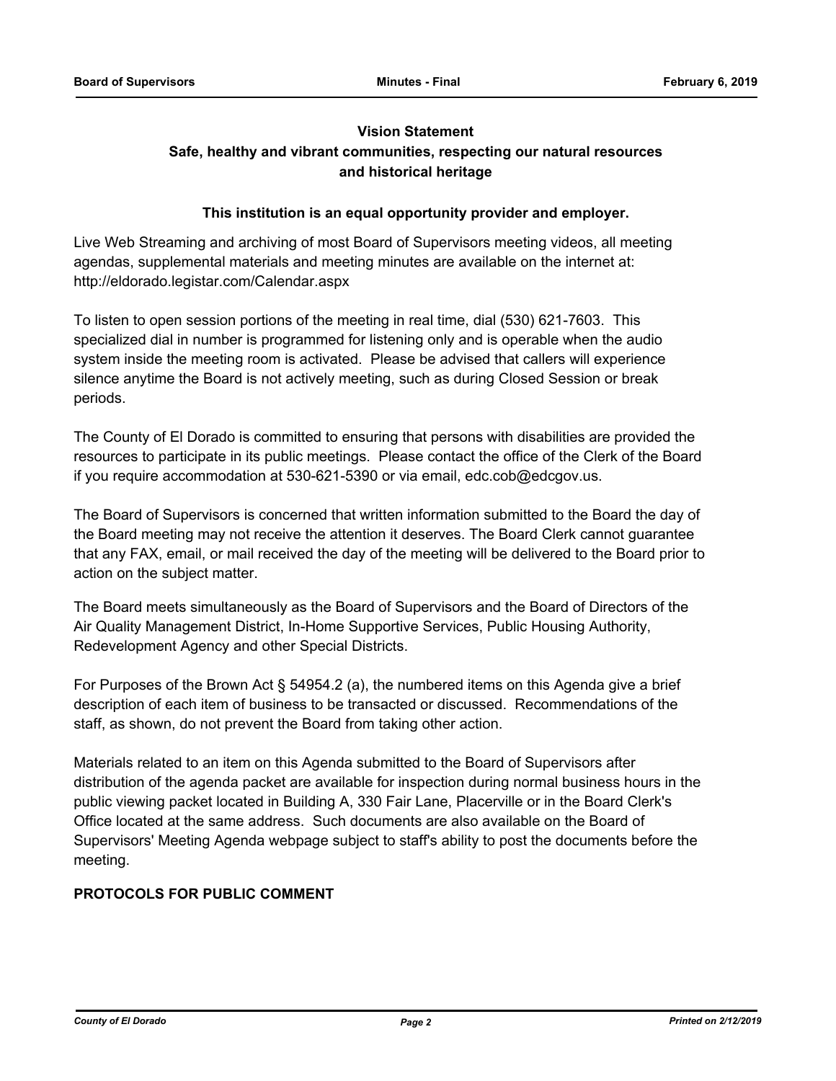## **Vision Statement Safe, healthy and vibrant communities, respecting our natural resources and historical heritage**

### **This institution is an equal opportunity provider and employer.**

Live Web Streaming and archiving of most Board of Supervisors meeting videos, all meeting agendas, supplemental materials and meeting minutes are available on the internet at: http://eldorado.legistar.com/Calendar.aspx

To listen to open session portions of the meeting in real time, dial (530) 621-7603. This specialized dial in number is programmed for listening only and is operable when the audio system inside the meeting room is activated. Please be advised that callers will experience silence anytime the Board is not actively meeting, such as during Closed Session or break periods.

The County of El Dorado is committed to ensuring that persons with disabilities are provided the resources to participate in its public meetings. Please contact the office of the Clerk of the Board if you require accommodation at 530-621-5390 or via email, edc.cob@edcgov.us.

The Board of Supervisors is concerned that written information submitted to the Board the day of the Board meeting may not receive the attention it deserves. The Board Clerk cannot guarantee that any FAX, email, or mail received the day of the meeting will be delivered to the Board prior to action on the subject matter.

The Board meets simultaneously as the Board of Supervisors and the Board of Directors of the Air Quality Management District, In-Home Supportive Services, Public Housing Authority, Redevelopment Agency and other Special Districts.

For Purposes of the Brown Act § 54954.2 (a), the numbered items on this Agenda give a brief description of each item of business to be transacted or discussed. Recommendations of the staff, as shown, do not prevent the Board from taking other action.

Materials related to an item on this Agenda submitted to the Board of Supervisors after distribution of the agenda packet are available for inspection during normal business hours in the public viewing packet located in Building A, 330 Fair Lane, Placerville or in the Board Clerk's Office located at the same address. Such documents are also available on the Board of Supervisors' Meeting Agenda webpage subject to staff's ability to post the documents before the meeting.

## **PROTOCOLS FOR PUBLIC COMMENT**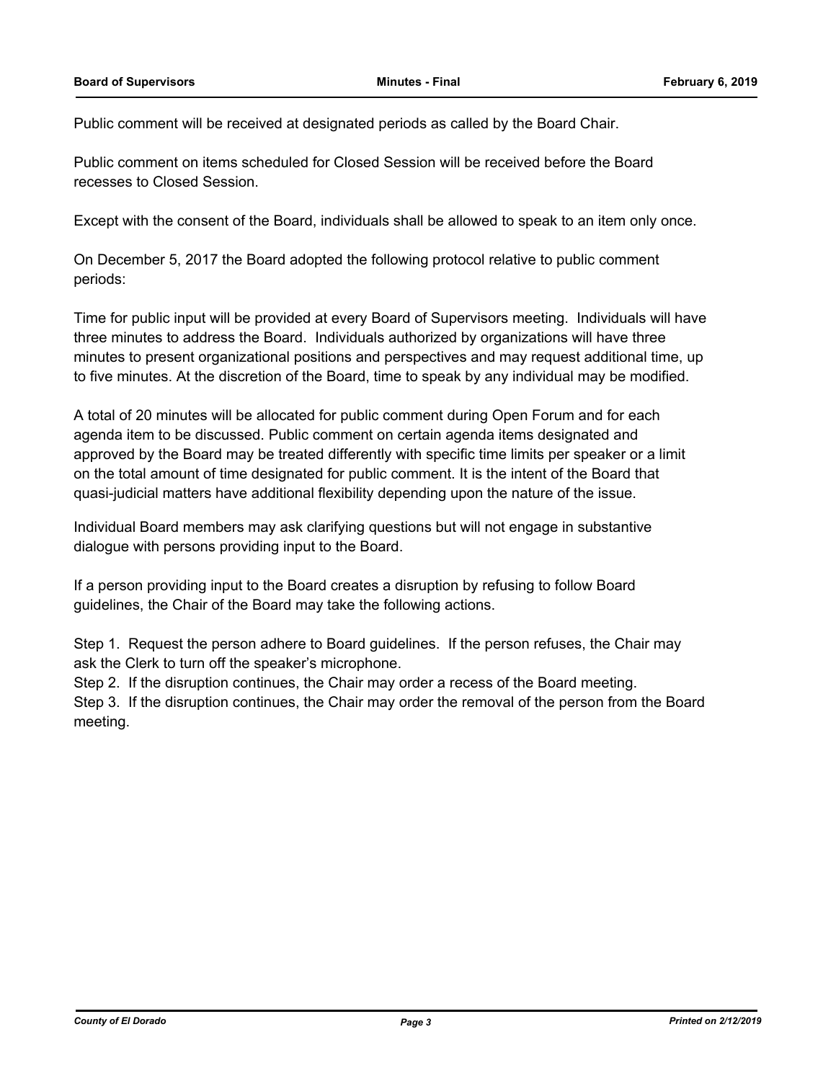Public comment will be received at designated periods as called by the Board Chair.

Public comment on items scheduled for Closed Session will be received before the Board recesses to Closed Session.

Except with the consent of the Board, individuals shall be allowed to speak to an item only once.

On December 5, 2017 the Board adopted the following protocol relative to public comment periods:

Time for public input will be provided at every Board of Supervisors meeting. Individuals will have three minutes to address the Board. Individuals authorized by organizations will have three minutes to present organizational positions and perspectives and may request additional time, up to five minutes. At the discretion of the Board, time to speak by any individual may be modified.

A total of 20 minutes will be allocated for public comment during Open Forum and for each agenda item to be discussed. Public comment on certain agenda items designated and approved by the Board may be treated differently with specific time limits per speaker or a limit on the total amount of time designated for public comment. It is the intent of the Board that quasi-judicial matters have additional flexibility depending upon the nature of the issue.

Individual Board members may ask clarifying questions but will not engage in substantive dialogue with persons providing input to the Board.

If a person providing input to the Board creates a disruption by refusing to follow Board guidelines, the Chair of the Board may take the following actions.

Step 1. Request the person adhere to Board guidelines. If the person refuses, the Chair may ask the Clerk to turn off the speaker's microphone.

Step 2. If the disruption continues, the Chair may order a recess of the Board meeting.

Step 3. If the disruption continues, the Chair may order the removal of the person from the Board meeting.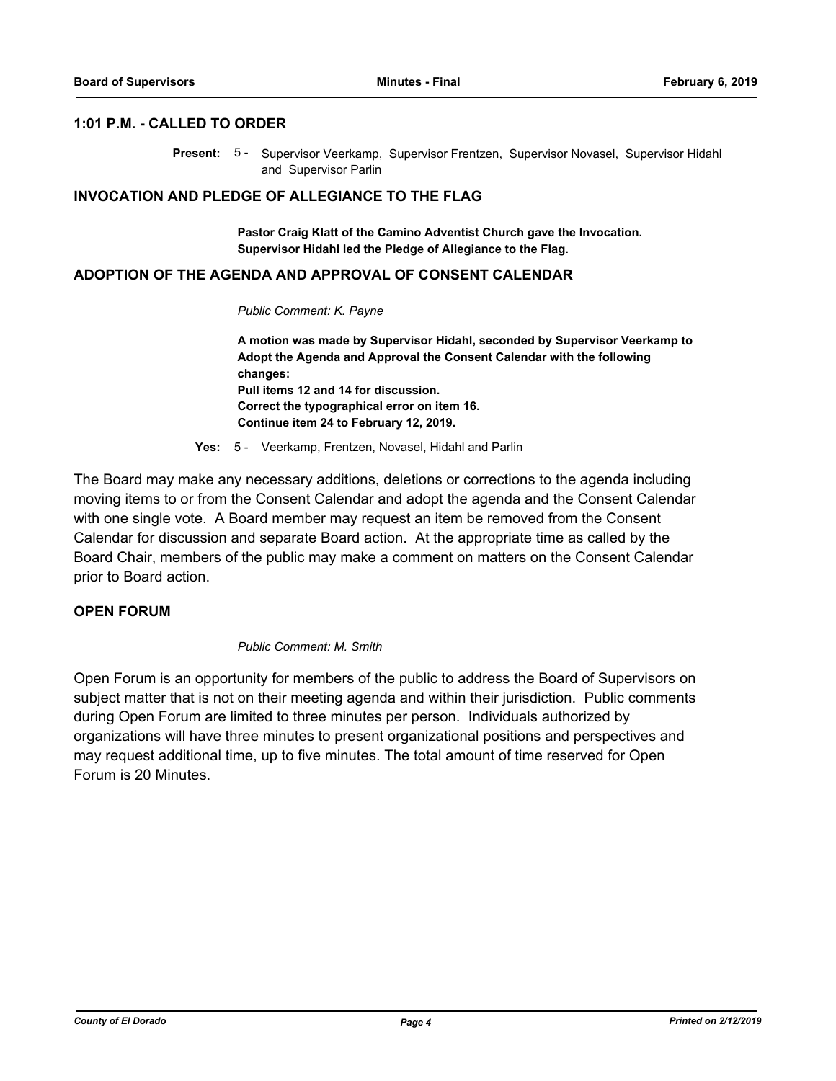#### **1:01 P.M. - CALLED TO ORDER**

Present: 5 - Supervisor Veerkamp, Supervisor Frentzen, Supervisor Novasel, Supervisor Hidahl and Supervisor Parlin

#### **INVOCATION AND PLEDGE OF ALLEGIANCE TO THE FLAG**

**Pastor Craig Klatt of the Camino Adventist Church gave the Invocation. Supervisor Hidahl led the Pledge of Allegiance to the Flag.**

#### **ADOPTION OF THE AGENDA AND APPROVAL OF CONSENT CALENDAR**

#### *Public Comment: K. Payne*

**A motion was made by Supervisor Hidahl, seconded by Supervisor Veerkamp to Adopt the Agenda and Approval the Consent Calendar with the following changes: Pull items 12 and 14 for discussion. Correct the typographical error on item 16. Continue item 24 to February 12, 2019.**

**Yes:** 5 - Veerkamp, Frentzen, Novasel, Hidahl and Parlin

The Board may make any necessary additions, deletions or corrections to the agenda including moving items to or from the Consent Calendar and adopt the agenda and the Consent Calendar with one single vote. A Board member may request an item be removed from the Consent Calendar for discussion and separate Board action. At the appropriate time as called by the Board Chair, members of the public may make a comment on matters on the Consent Calendar prior to Board action.

## **OPEN FORUM**

#### *Public Comment: M. Smith*

Open Forum is an opportunity for members of the public to address the Board of Supervisors on subject matter that is not on their meeting agenda and within their jurisdiction. Public comments during Open Forum are limited to three minutes per person. Individuals authorized by organizations will have three minutes to present organizational positions and perspectives and may request additional time, up to five minutes. The total amount of time reserved for Open Forum is 20 Minutes.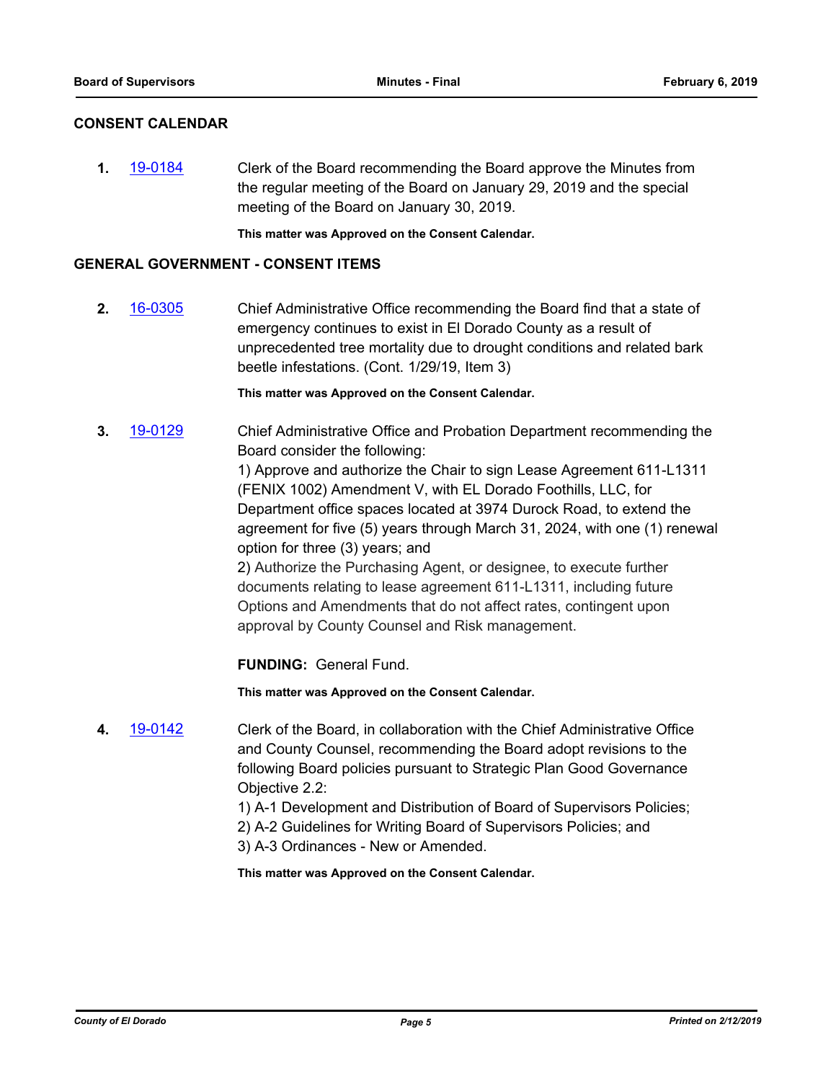#### **CONSENT CALENDAR**

**1.** [19-0184](http://eldorado.legistar.com/gateway.aspx?m=l&id=/matter.aspx?key=25504) Clerk of the Board recommending the Board approve the Minutes from the regular meeting of the Board on January 29, 2019 and the special meeting of the Board on January 30, 2019.

**This matter was Approved on the Consent Calendar.**

### **GENERAL GOVERNMENT - CONSENT ITEMS**

**2.** [16-0305](http://eldorado.legistar.com/gateway.aspx?m=l&id=/matter.aspx?key=20961) Chief Administrative Office recommending the Board find that a state of emergency continues to exist in El Dorado County as a result of unprecedented tree mortality due to drought conditions and related bark beetle infestations. (Cont. 1/29/19, Item 3)

**This matter was Approved on the Consent Calendar.**

**3.** [19-0129](http://eldorado.legistar.com/gateway.aspx?m=l&id=/matter.aspx?key=25450) Chief Administrative Office and Probation Department recommending the Board consider the following:

> 1) Approve and authorize the Chair to sign Lease Agreement 611-L1311 (FENIX 1002) Amendment V, with EL Dorado Foothills, LLC, for Department office spaces located at 3974 Durock Road, to extend the agreement for five (5) years through March 31, 2024, with one (1) renewal option for three (3) years; and

2) Authorize the Purchasing Agent, or designee, to execute further documents relating to lease agreement 611-L1311, including future Options and Amendments that do not affect rates, contingent upon approval by County Counsel and Risk management.

**FUNDING:** General Fund.

**This matter was Approved on the Consent Calendar.**

- **4.** [19-0142](http://eldorado.legistar.com/gateway.aspx?m=l&id=/matter.aspx?key=25462) Clerk of the Board, in collaboration with the Chief Administrative Office and County Counsel, recommending the Board adopt revisions to the following Board policies pursuant to Strategic Plan Good Governance Objective 2.2:
	- 1) A-1 Development and Distribution of Board of Supervisors Policies;
	- 2) A-2 Guidelines for Writing Board of Supervisors Policies; and
	- 3) A-3 Ordinances New or Amended.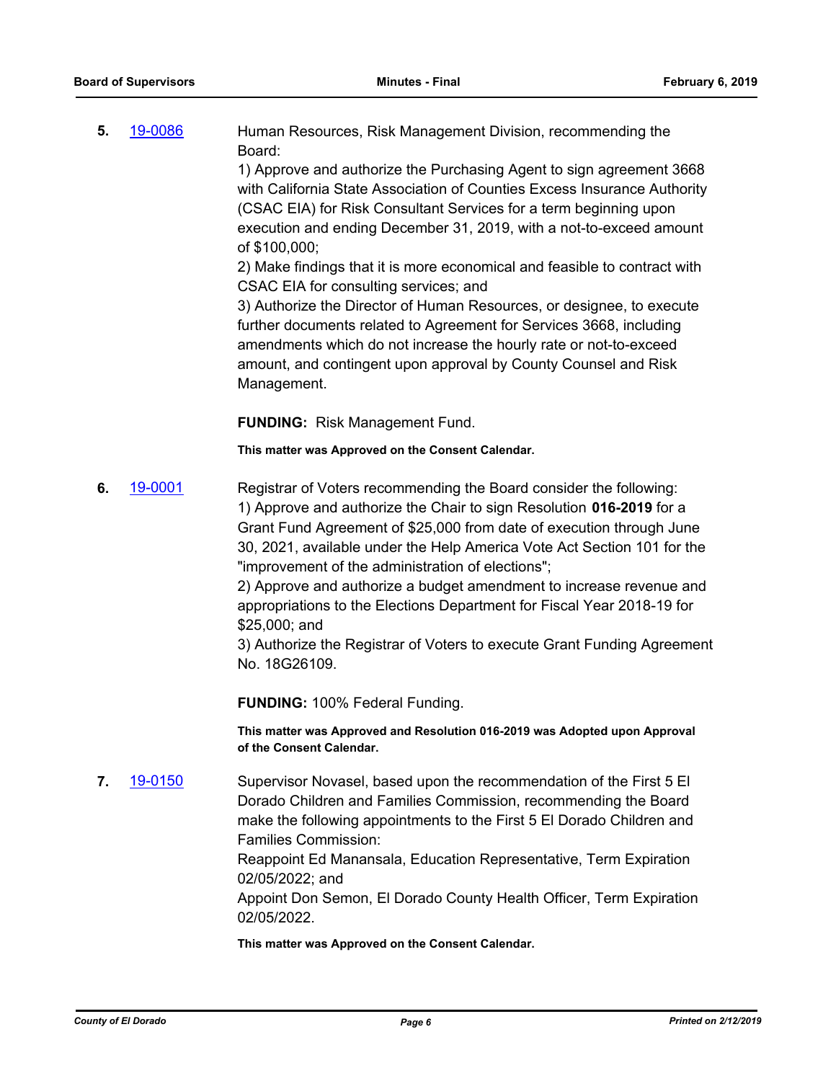**5.** [19-0086](http://eldorado.legistar.com/gateway.aspx?m=l&id=/matter.aspx?key=25407) Human Resources, Risk Management Division, recommending the Board:

> 1) Approve and authorize the Purchasing Agent to sign agreement 3668 with California State Association of Counties Excess Insurance Authority (CSAC EIA) for Risk Consultant Services for a term beginning upon execution and ending December 31, 2019, with a not-to-exceed amount of \$100,000;

2) Make findings that it is more economical and feasible to contract with CSAC EIA for consulting services; and

3) Authorize the Director of Human Resources, or designee, to execute further documents related to Agreement for Services 3668, including amendments which do not increase the hourly rate or not-to-exceed amount, and contingent upon approval by County Counsel and Risk Management.

**FUNDING:** Risk Management Fund.

**This matter was Approved on the Consent Calendar.**

**6.** [19-0001](http://eldorado.legistar.com/gateway.aspx?m=l&id=/matter.aspx?key=25322) Registrar of Voters recommending the Board consider the following: 1) Approve and authorize the Chair to sign Resolution **016-2019** for a Grant Fund Agreement of \$25,000 from date of execution through June 30, 2021, available under the Help America Vote Act Section 101 for the "improvement of the administration of elections";

> 2) Approve and authorize a budget amendment to increase revenue and appropriations to the Elections Department for Fiscal Year 2018-19 for \$25,000; and

3) Authorize the Registrar of Voters to execute Grant Funding Agreement No. 18G26109.

**FUNDING:** 100% Federal Funding.

**This matter was Approved and Resolution 016-2019 was Adopted upon Approval of the Consent Calendar.**

**7.** [19-0150](http://eldorado.legistar.com/gateway.aspx?m=l&id=/matter.aspx?key=25470) Supervisor Novasel, based upon the recommendation of the First 5 El Dorado Children and Families Commission, recommending the Board make the following appointments to the First 5 El Dorado Children and Families Commission:

> Reappoint Ed Manansala, Education Representative, Term Expiration 02/05/2022; and

Appoint Don Semon, El Dorado County Health Officer, Term Expiration 02/05/2022.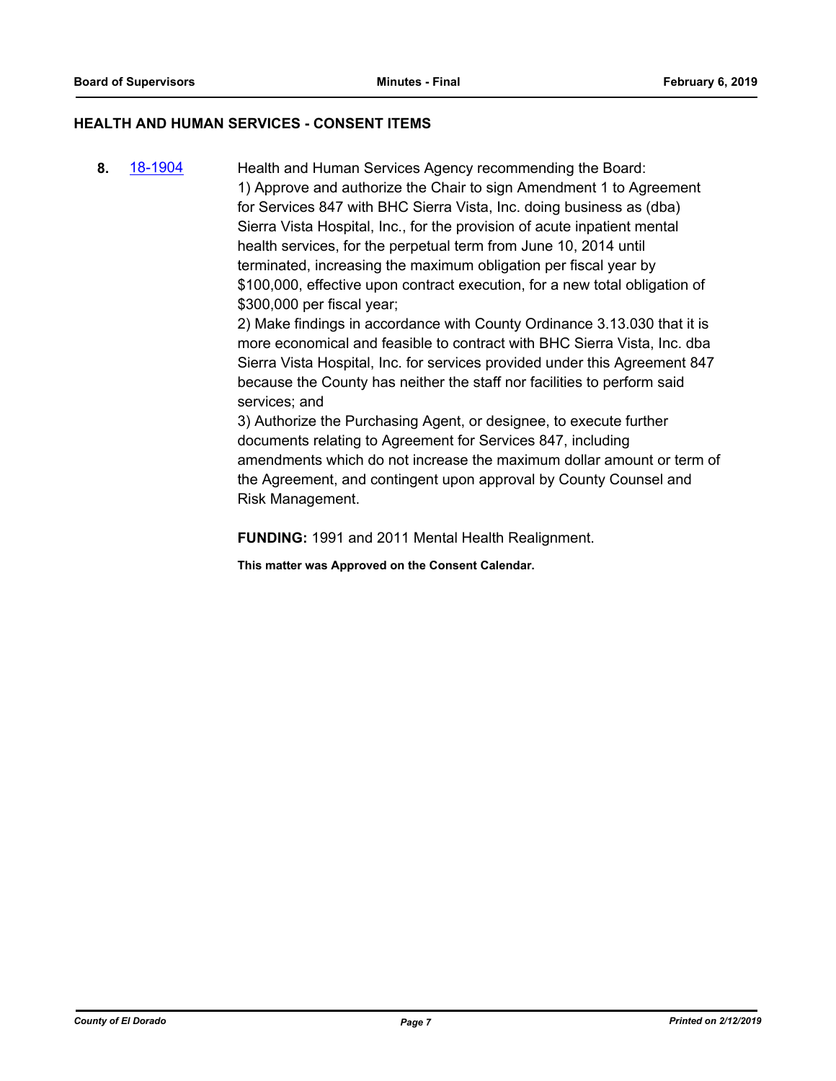## **HEALTH AND HUMAN SERVICES - CONSENT ITEMS**

**8.** [18-1904](http://eldorado.legistar.com/gateway.aspx?m=l&id=/matter.aspx?key=25254) Health and Human Services Agency recommending the Board: 1) Approve and authorize the Chair to sign Amendment 1 to Agreement for Services 847 with BHC Sierra Vista, Inc. doing business as (dba) Sierra Vista Hospital, Inc., for the provision of acute inpatient mental health services, for the perpetual term from June 10, 2014 until terminated, increasing the maximum obligation per fiscal year by \$100,000, effective upon contract execution, for a new total obligation of \$300,000 per fiscal year;

2) Make findings in accordance with County Ordinance 3.13.030 that it is more economical and feasible to contract with BHC Sierra Vista, Inc. dba Sierra Vista Hospital, Inc. for services provided under this Agreement 847 because the County has neither the staff nor facilities to perform said services; and

3) Authorize the Purchasing Agent, or designee, to execute further documents relating to Agreement for Services 847, including amendments which do not increase the maximum dollar amount or term of the Agreement, and contingent upon approval by County Counsel and Risk Management.

**FUNDING:** 1991 and 2011 Mental Health Realignment.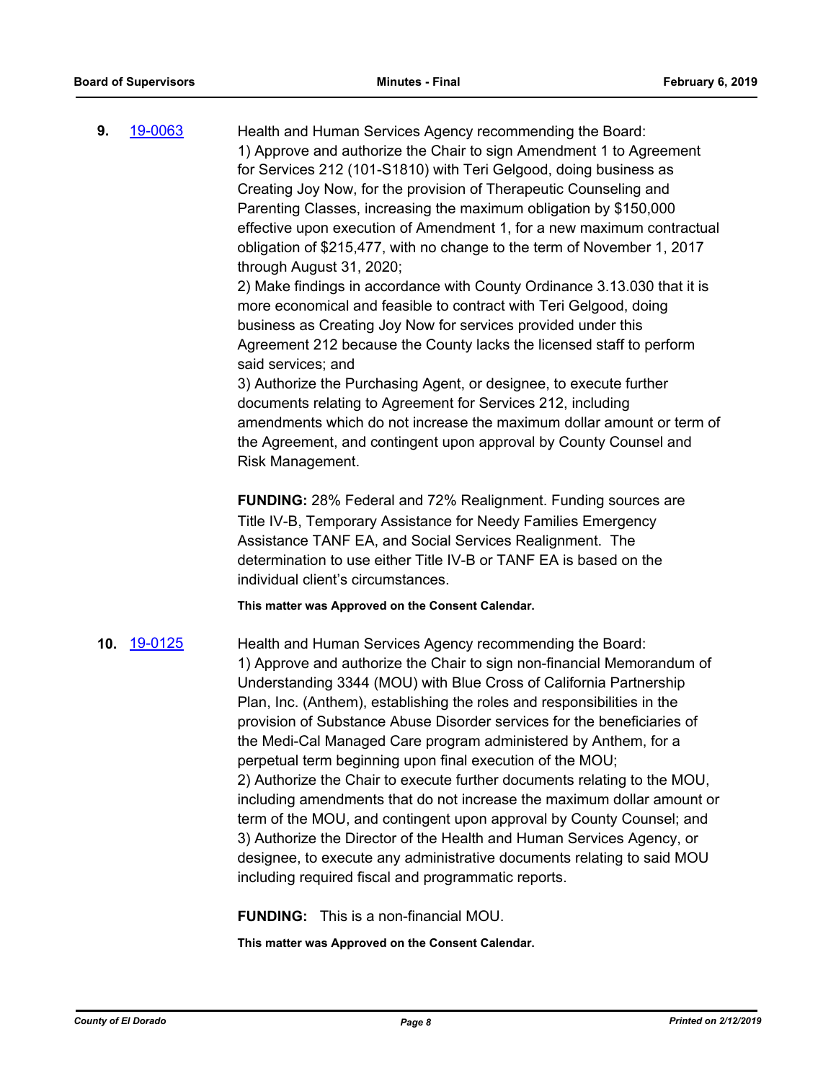| 9.  | 19-0063 | Health and Human Services Agency recommending the Board:<br>1) Approve and authorize the Chair to sign Amendment 1 to Agreement<br>for Services 212 (101-S1810) with Teri Gelgood, doing business as<br>Creating Joy Now, for the provision of Therapeutic Counseling and<br>Parenting Classes, increasing the maximum obligation by \$150,000<br>effective upon execution of Amendment 1, for a new maximum contractual<br>obligation of \$215,477, with no change to the term of November 1, 2017<br>through August 31, 2020;<br>2) Make findings in accordance with County Ordinance 3.13.030 that it is<br>more economical and feasible to contract with Teri Gelgood, doing<br>business as Creating Joy Now for services provided under this<br>Agreement 212 because the County lacks the licensed staff to perform<br>said services; and<br>3) Authorize the Purchasing Agent, or designee, to execute further<br>documents relating to Agreement for Services 212, including<br>amendments which do not increase the maximum dollar amount or term of<br>the Agreement, and contingent upon approval by County Counsel and<br>Risk Management. |
|-----|---------|--------------------------------------------------------------------------------------------------------------------------------------------------------------------------------------------------------------------------------------------------------------------------------------------------------------------------------------------------------------------------------------------------------------------------------------------------------------------------------------------------------------------------------------------------------------------------------------------------------------------------------------------------------------------------------------------------------------------------------------------------------------------------------------------------------------------------------------------------------------------------------------------------------------------------------------------------------------------------------------------------------------------------------------------------------------------------------------------------------------------------------------------------------|
|     |         | <b>FUNDING: 28% Federal and 72% Realignment. Funding sources are</b><br>Title IV-B, Temporary Assistance for Needy Families Emergency<br>Assistance TANF EA, and Social Services Realignment. The<br>determination to use either Title IV-B or TANF EA is based on the<br>individual client's circumstances.                                                                                                                                                                                                                                                                                                                                                                                                                                                                                                                                                                                                                                                                                                                                                                                                                                           |
|     |         | This matter was Approved on the Consent Calendar.                                                                                                                                                                                                                                                                                                                                                                                                                                                                                                                                                                                                                                                                                                                                                                                                                                                                                                                                                                                                                                                                                                      |
| 10. | 19-0125 | Health and Human Services Agency recommending the Board:<br>1) Approve and authorize the Chair to sign non-financial Memorandum of<br>Understanding 3344 (MOU) with Blue Cross of California Partnership<br>Plan, Inc. (Anthem), establishing the roles and responsibilities in the<br>provision of Substance Abuse Disorder services for the beneficiaries of<br>the Medi-Cal Managed Care program administered by Anthem, for a<br>perpetual term beginning upon final execution of the MOU;<br>2) Authorize the Chair to execute further documents relating to the MOU,<br>including amendments that do not increase the maximum dollar amount or<br>term of the MOU, and contingent upon approval by County Counsel; and<br>3) Authorize the Director of the Health and Human Services Agency, or<br>designee, to execute any administrative documents relating to said MOU<br>including required fiscal and programmatic reports.                                                                                                                                                                                                                 |

## **FUNDING:** This is a non-financial MOU.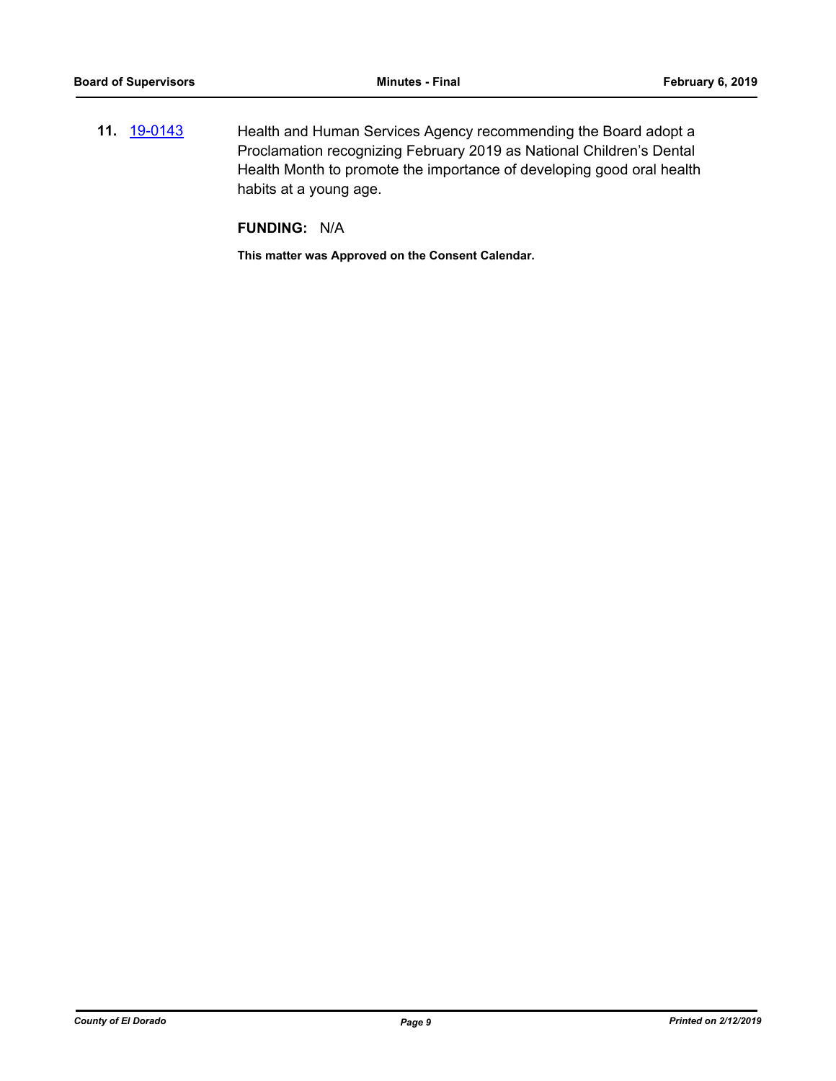**11.** [19-0143](http://eldorado.legistar.com/gateway.aspx?m=l&id=/matter.aspx?key=25463) Health and Human Services Agency recommending the Board adopt a Proclamation recognizing February 2019 as National Children's Dental Health Month to promote the importance of developing good oral health habits at a young age.

**FUNDING:** N/A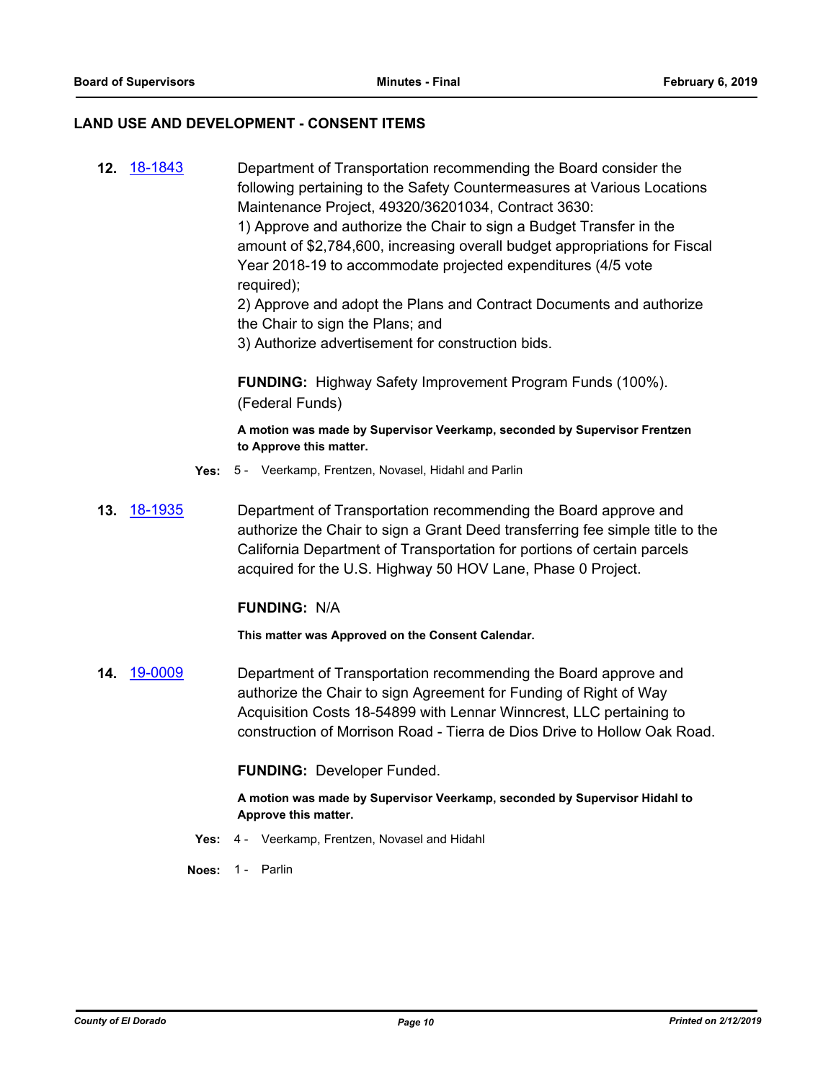#### **LAND USE AND DEVELOPMENT - CONSENT ITEMS**

**12.** [18-1843](http://eldorado.legistar.com/gateway.aspx?m=l&id=/matter.aspx?key=25193) Department of Transportation recommending the Board consider the following pertaining to the Safety Countermeasures at Various Locations Maintenance Project, 49320/36201034, Contract 3630: 1) Approve and authorize the Chair to sign a Budget Transfer in the amount of \$2,784,600, increasing overall budget appropriations for Fiscal Year 2018-19 to accommodate projected expenditures (4/5 vote required); 2) Approve and adopt the Plans and Contract Documents and authorize

the Chair to sign the Plans; and

3) Authorize advertisement for construction bids.

**FUNDING:** Highway Safety Improvement Program Funds (100%). (Federal Funds)

**A motion was made by Supervisor Veerkamp, seconded by Supervisor Frentzen to Approve this matter.**

- **Yes:** 5 Veerkamp, Frentzen, Novasel, Hidahl and Parlin
- **13.** [18-1935](http://eldorado.legistar.com/gateway.aspx?m=l&id=/matter.aspx?key=25285) Department of Transportation recommending the Board approve and authorize the Chair to sign a Grant Deed transferring fee simple title to the California Department of Transportation for portions of certain parcels acquired for the U.S. Highway 50 HOV Lane, Phase 0 Project.

#### **FUNDING:** N/A

**This matter was Approved on the Consent Calendar.**

**14.** [19-0009](http://eldorado.legistar.com/gateway.aspx?m=l&id=/matter.aspx?key=25330) Department of Transportation recommending the Board approve and authorize the Chair to sign Agreement for Funding of Right of Way Acquisition Costs 18-54899 with Lennar Winncrest, LLC pertaining to construction of Morrison Road - Tierra de Dios Drive to Hollow Oak Road.

#### **FUNDING:** Developer Funded.

**A motion was made by Supervisor Veerkamp, seconded by Supervisor Hidahl to Approve this matter.**

- **Yes:** 4 Veerkamp, Frentzen, Novasel and Hidahl
- **Noes:** 1 Parlin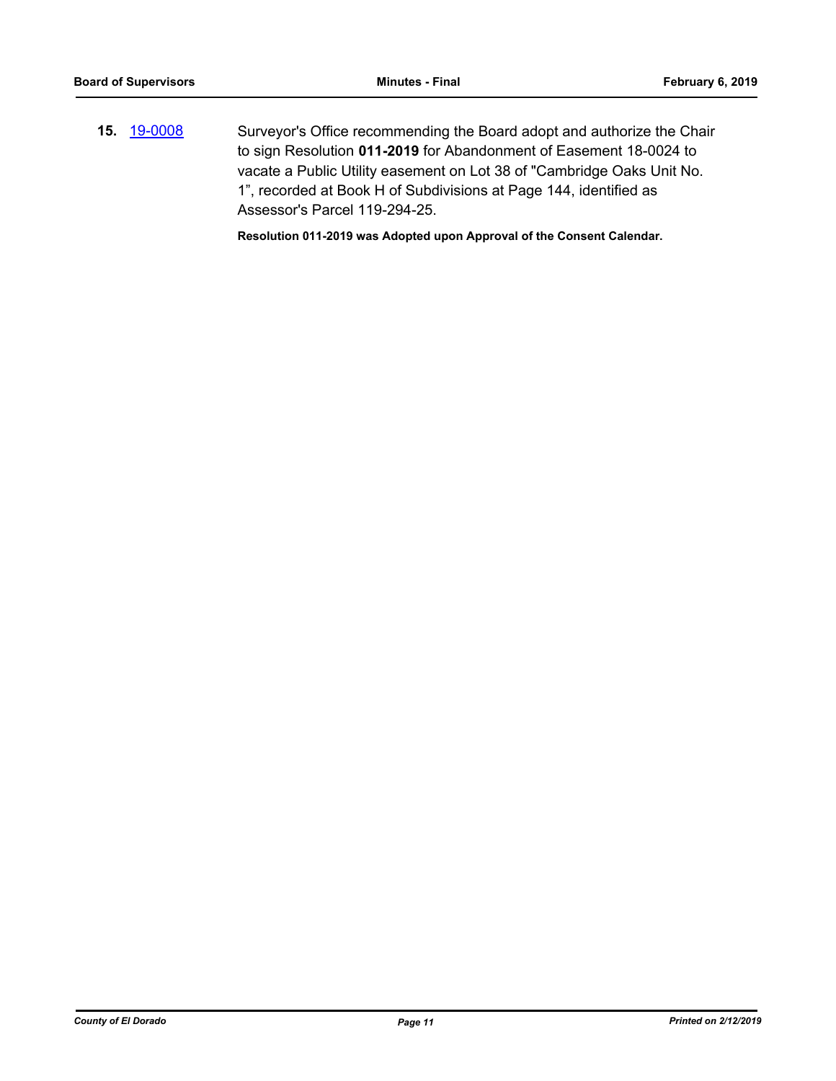**15.** [19-0008](http://eldorado.legistar.com/gateway.aspx?m=l&id=/matter.aspx?key=25329) Surveyor's Office recommending the Board adopt and authorize the Chair to sign Resolution **011-2019** for Abandonment of Easement 18-0024 to vacate a Public Utility easement on Lot 38 of "Cambridge Oaks Unit No. 1", recorded at Book H of Subdivisions at Page 144, identified as Assessor's Parcel 119-294-25.

**Resolution 011-2019 was Adopted upon Approval of the Consent Calendar.**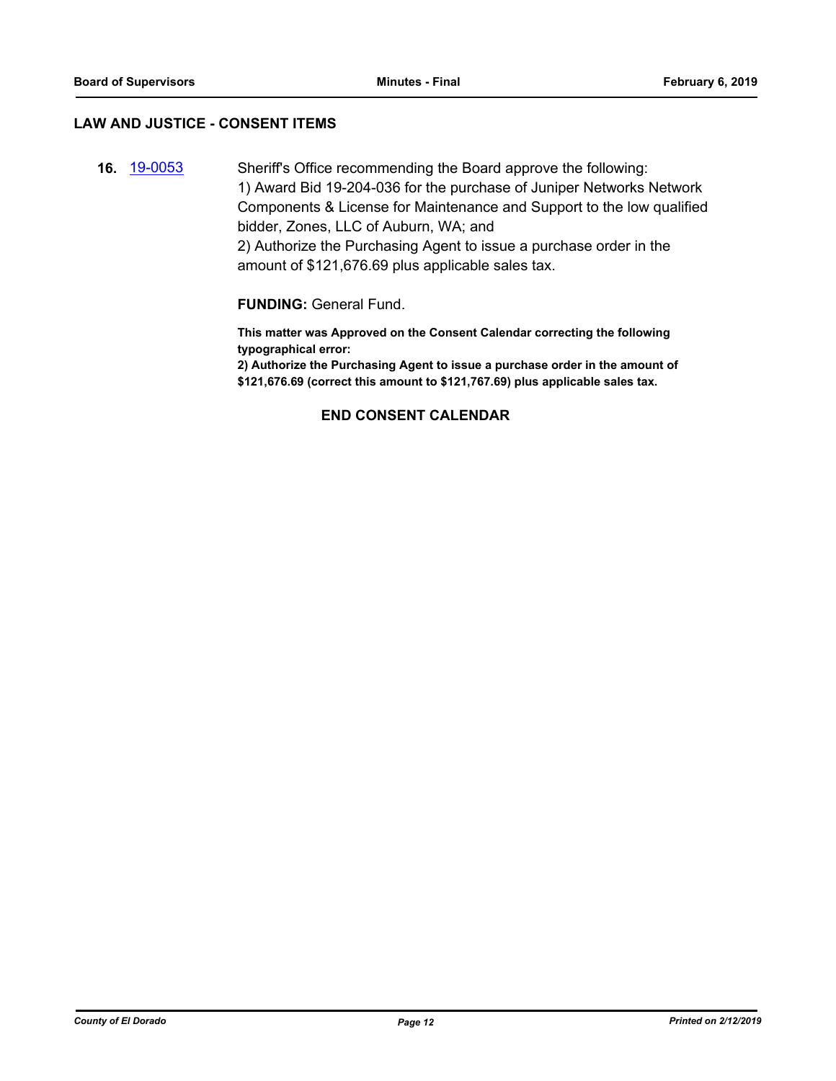#### **LAW AND JUSTICE - CONSENT ITEMS**

**16.** [19-0053](http://eldorado.legistar.com/gateway.aspx?m=l&id=/matter.aspx?key=25374) Sheriff's Office recommending the Board approve the following: 1) Award Bid 19-204-036 for the purchase of Juniper Networks Network Components & License for Maintenance and Support to the low qualified bidder, Zones, LLC of Auburn, WA; and 2) Authorize the Purchasing Agent to issue a purchase order in the amount of \$121,676.69 plus applicable sales tax.

**FUNDING:** General Fund.

**This matter was Approved on the Consent Calendar correcting the following typographical error:**

**2) Authorize the Purchasing Agent to issue a purchase order in the amount of \$121,676.69 (correct this amount to \$121,767.69) plus applicable sales tax.**

### **END CONSENT CALENDAR**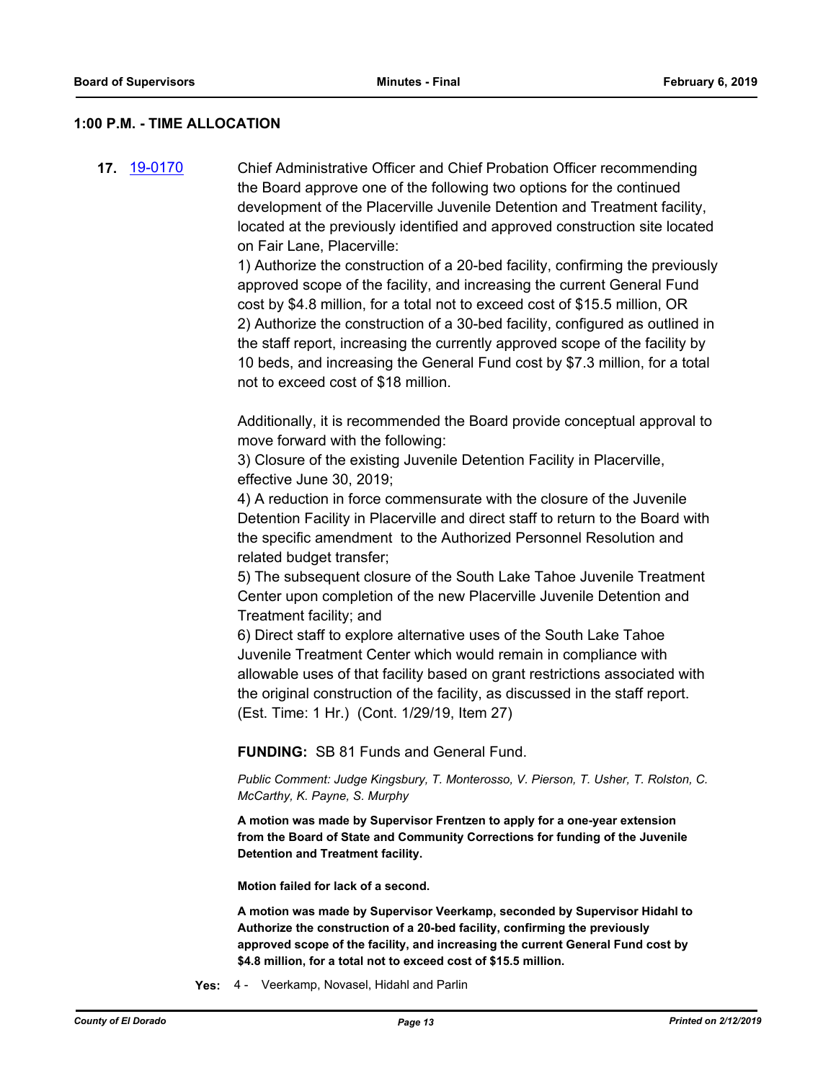#### **1:00 P.M. - TIME ALLOCATION**

**17.** [19-0170](http://eldorado.legistar.com/gateway.aspx?m=l&id=/matter.aspx?key=25490) Chief Administrative Officer and Chief Probation Officer recommending the Board approve one of the following two options for the continued development of the Placerville Juvenile Detention and Treatment facility, located at the previously identified and approved construction site located on Fair Lane, Placerville:

> 1) Authorize the construction of a 20-bed facility, confirming the previously approved scope of the facility, and increasing the current General Fund cost by \$4.8 million, for a total not to exceed cost of \$15.5 million, OR 2) Authorize the construction of a 30-bed facility, configured as outlined in the staff report, increasing the currently approved scope of the facility by 10 beds, and increasing the General Fund cost by \$7.3 million, for a total not to exceed cost of \$18 million.

> Additionally, it is recommended the Board provide conceptual approval to move forward with the following:

3) Closure of the existing Juvenile Detention Facility in Placerville, effective June 30, 2019;

4) A reduction in force commensurate with the closure of the Juvenile Detention Facility in Placerville and direct staff to return to the Board with the specific amendment to the Authorized Personnel Resolution and related budget transfer;

5) The subsequent closure of the South Lake Tahoe Juvenile Treatment Center upon completion of the new Placerville Juvenile Detention and Treatment facility; and

6) Direct staff to explore alternative uses of the South Lake Tahoe Juvenile Treatment Center which would remain in compliance with allowable uses of that facility based on grant restrictions associated with the original construction of the facility, as discussed in the staff report. (Est. Time: 1 Hr.) (Cont. 1/29/19, Item 27)

**FUNDING:** SB 81 Funds and General Fund.

*Public Comment: Judge Kingsbury, T. Monterosso, V. Pierson, T. Usher, T. Rolston, C. McCarthy, K. Payne, S. Murphy*

**A motion was made by Supervisor Frentzen to apply for a one-year extension from the Board of State and Community Corrections for funding of the Juvenile Detention and Treatment facility.**

**Motion failed for lack of a second.**

**A motion was made by Supervisor Veerkamp, seconded by Supervisor Hidahl to Authorize the construction of a 20-bed facility, confirming the previously approved scope of the facility, and increasing the current General Fund cost by \$4.8 million, for a total not to exceed cost of \$15.5 million.**

**Yes:** 4 - Veerkamp, Novasel, Hidahl and Parlin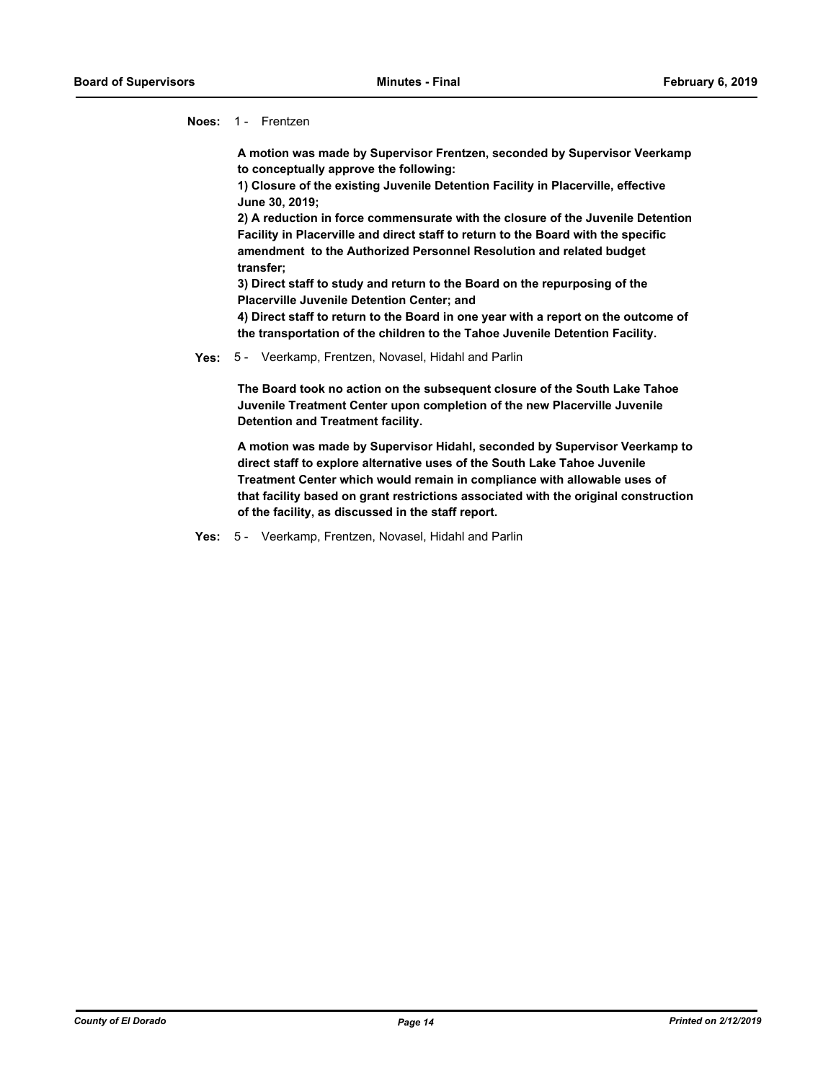**Noes:** 1 - Frentzen

**A motion was made by Supervisor Frentzen, seconded by Supervisor Veerkamp to conceptually approve the following:**

**1) Closure of the existing Juvenile Detention Facility in Placerville, effective June 30, 2019;** 

**2) A reduction in force commensurate with the closure of the Juvenile Detention Facility in Placerville and direct staff to return to the Board with the specific amendment to the Authorized Personnel Resolution and related budget transfer;**

**3) Direct staff to study and return to the Board on the repurposing of the Placerville Juvenile Detention Center; and**

**4) Direct staff to return to the Board in one year with a report on the outcome of the transportation of the children to the Tahoe Juvenile Detention Facility.**

#### **Yes:** 5 - Veerkamp, Frentzen, Novasel, Hidahl and Parlin

**The Board took no action on the subsequent closure of the South Lake Tahoe Juvenile Treatment Center upon completion of the new Placerville Juvenile Detention and Treatment facility.**

**A motion was made by Supervisor Hidahl, seconded by Supervisor Veerkamp to direct staff to explore alternative uses of the South Lake Tahoe Juvenile Treatment Center which would remain in compliance with allowable uses of that facility based on grant restrictions associated with the original construction of the facility, as discussed in the staff report.**

**Yes:** 5 - Veerkamp, Frentzen, Novasel, Hidahl and Parlin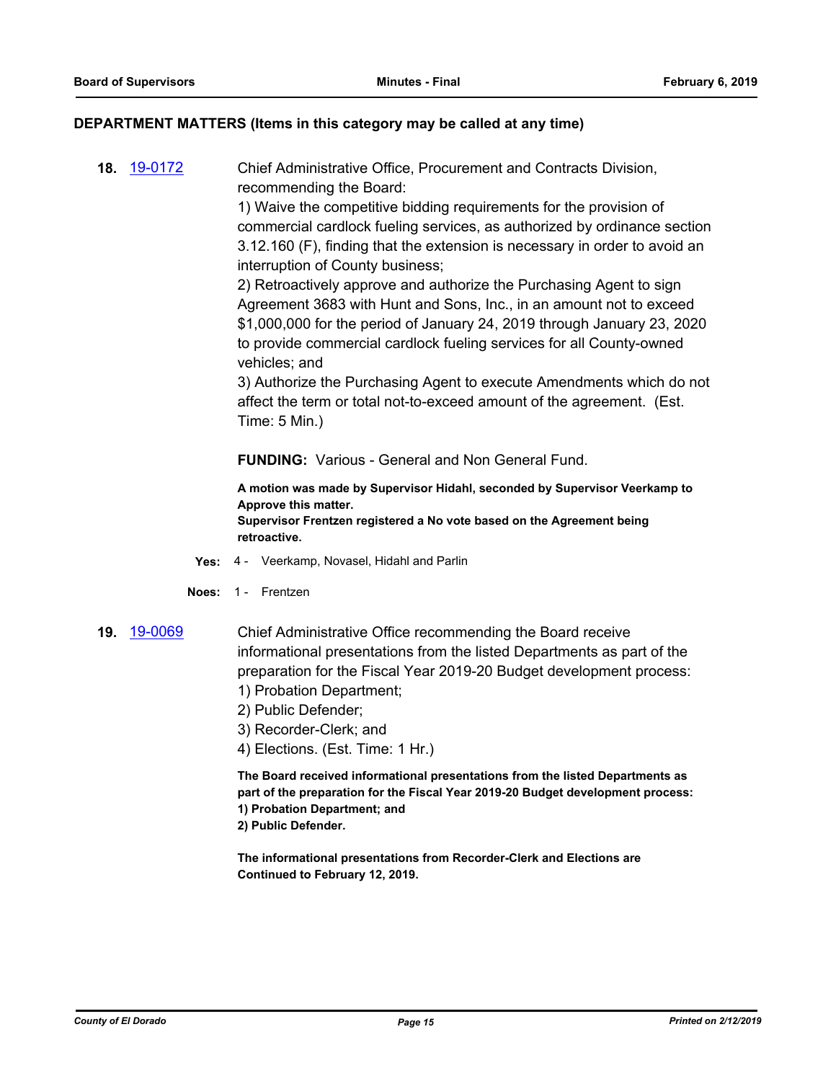#### **DEPARTMENT MATTERS (Items in this category may be called at any time)**

**18.** [19-0172](http://eldorado.legistar.com/gateway.aspx?m=l&id=/matter.aspx?key=25492) Chief Administrative Office, Procurement and Contracts Division, recommending the Board:

> 1) Waive the competitive bidding requirements for the provision of commercial cardlock fueling services, as authorized by ordinance section 3.12.160 (F), finding that the extension is necessary in order to avoid an interruption of County business;

> 2) Retroactively approve and authorize the Purchasing Agent to sign Agreement 3683 with Hunt and Sons, Inc., in an amount not to exceed \$1,000,000 for the period of January 24, 2019 through January 23, 2020 to provide commercial cardlock fueling services for all County-owned vehicles; and

> 3) Authorize the Purchasing Agent to execute Amendments which do not affect the term or total not-to-exceed amount of the agreement. (Est. Time: 5 Min.)

**FUNDING:** Various - General and Non General Fund.

**A motion was made by Supervisor Hidahl, seconded by Supervisor Veerkamp to Approve this matter. Supervisor Frentzen registered a No vote based on the Agreement being retroactive.**

- **Yes:** 4 Veerkamp, Novasel, Hidahl and Parlin
- **Noes:** 1 Frentzen
- **19.** [19-0069](http://eldorado.legistar.com/gateway.aspx?m=l&id=/matter.aspx?key=25390) Chief Administrative Office recommending the Board receive informational presentations from the listed Departments as part of the preparation for the Fiscal Year 2019-20 Budget development process: 1) Probation Department;
	- 2) Public Defender;
	- 3) Recorder-Clerk; and
	- 4) Elections. (Est. Time: 1 Hr.)

**The Board received informational presentations from the listed Departments as part of the preparation for the Fiscal Year 2019-20 Budget development process: 1) Probation Department; and 2) Public Defender.**

**The informational presentations from Recorder-Clerk and Elections are Continued to February 12, 2019.**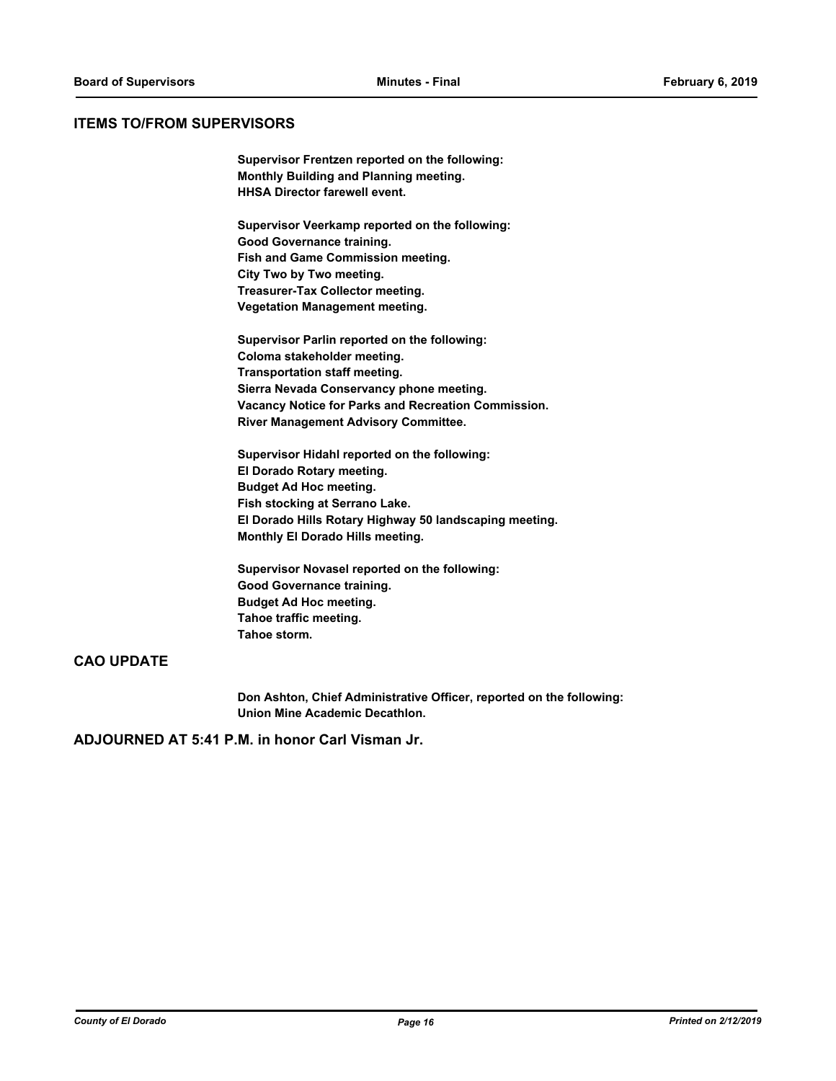#### **ITEMS TO/FROM SUPERVISORS**

**Supervisor Frentzen reported on the following: Monthly Building and Planning meeting. HHSA Director farewell event.**

**Supervisor Veerkamp reported on the following: Good Governance training. Fish and Game Commission meeting. City Two by Two meeting. Treasurer-Tax Collector meeting. Vegetation Management meeting.**

**Supervisor Parlin reported on the following: Coloma stakeholder meeting. Transportation staff meeting. Sierra Nevada Conservancy phone meeting. Vacancy Notice for Parks and Recreation Commission. River Management Advisory Committee.**

**Supervisor Hidahl reported on the following: El Dorado Rotary meeting. Budget Ad Hoc meeting. Fish stocking at Serrano Lake. El Dorado Hills Rotary Highway 50 landscaping meeting. Monthly El Dorado Hills meeting.**

**Supervisor Novasel reported on the following: Good Governance training. Budget Ad Hoc meeting. Tahoe traffic meeting. Tahoe storm.**

## **CAO UPDATE**

**Don Ashton, Chief Administrative Officer, reported on the following: Union Mine Academic Decathlon.**

**ADJOURNED AT 5:41 P.M. in honor Carl Visman Jr.**